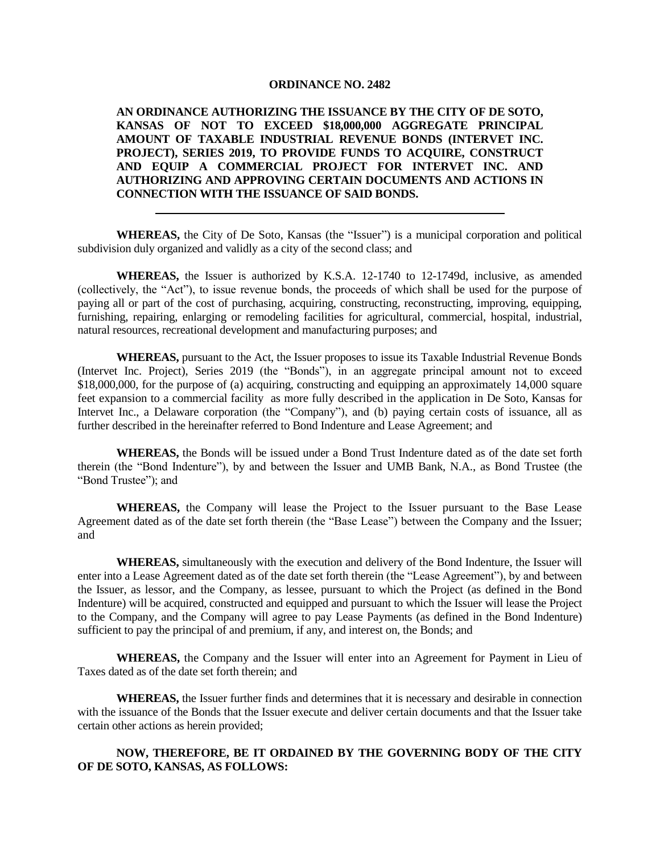## **ORDINANCE NO. 2482**

**AN ORDINANCE AUTHORIZING THE ISSUANCE BY THE CITY OF DE SOTO, KANSAS OF NOT TO EXCEED \$18,000,000 AGGREGATE PRINCIPAL AMOUNT OF TAXABLE INDUSTRIAL REVENUE BONDS (INTERVET INC. PROJECT), SERIES 2019, TO PROVIDE FUNDS TO ACQUIRE, CONSTRUCT AND EQUIP A COMMERCIAL PROJECT FOR INTERVET INC. AND AUTHORIZING AND APPROVING CERTAIN DOCUMENTS AND ACTIONS IN CONNECTION WITH THE ISSUANCE OF SAID BONDS.**

**WHEREAS,** the City of De Soto, Kansas (the "Issuer") is a municipal corporation and political subdivision duly organized and validly as a city of the second class; and

**WHEREAS,** the Issuer is authorized by K.S.A. 12-1740 to 12-1749d, inclusive, as amended (collectively, the "Act"), to issue revenue bonds, the proceeds of which shall be used for the purpose of paying all or part of the cost of purchasing, acquiring, constructing, reconstructing, improving, equipping, furnishing, repairing, enlarging or remodeling facilities for agricultural, commercial, hospital, industrial, natural resources, recreational development and manufacturing purposes; and

**WHEREAS,** pursuant to the Act, the Issuer proposes to issue its Taxable Industrial Revenue Bonds (Intervet Inc. Project), Series 2019 (the "Bonds"), in an aggregate principal amount not to exceed \$18,000,000, for the purpose of (a) acquiring, constructing and equipping an approximately 14,000 square feet expansion to a commercial facility as more fully described in the application in De Soto, Kansas for Intervet Inc., a Delaware corporation (the "Company"), and (b) paying certain costs of issuance, all as further described in the hereinafter referred to Bond Indenture and Lease Agreement; and

**WHEREAS,** the Bonds will be issued under a Bond Trust Indenture dated as of the date set forth therein (the "Bond Indenture"), by and between the Issuer and UMB Bank, N.A., as Bond Trustee (the "Bond Trustee"); and

**WHEREAS,** the Company will lease the Project to the Issuer pursuant to the Base Lease Agreement dated as of the date set forth therein (the "Base Lease") between the Company and the Issuer; and

**WHEREAS,** simultaneously with the execution and delivery of the Bond Indenture, the Issuer will enter into a Lease Agreement dated as of the date set forth therein (the "Lease Agreement"), by and between the Issuer, as lessor, and the Company, as lessee, pursuant to which the Project (as defined in the Bond Indenture) will be acquired, constructed and equipped and pursuant to which the Issuer will lease the Project to the Company, and the Company will agree to pay Lease Payments (as defined in the Bond Indenture) sufficient to pay the principal of and premium, if any, and interest on, the Bonds; and

**WHEREAS,** the Company and the Issuer will enter into an Agreement for Payment in Lieu of Taxes dated as of the date set forth therein; and

**WHEREAS,** the Issuer further finds and determines that it is necessary and desirable in connection with the issuance of the Bonds that the Issuer execute and deliver certain documents and that the Issuer take certain other actions as herein provided;

## **NOW, THEREFORE, BE IT ORDAINED BY THE GOVERNING BODY OF THE CITY OF DE SOTO, KANSAS, AS FOLLOWS:**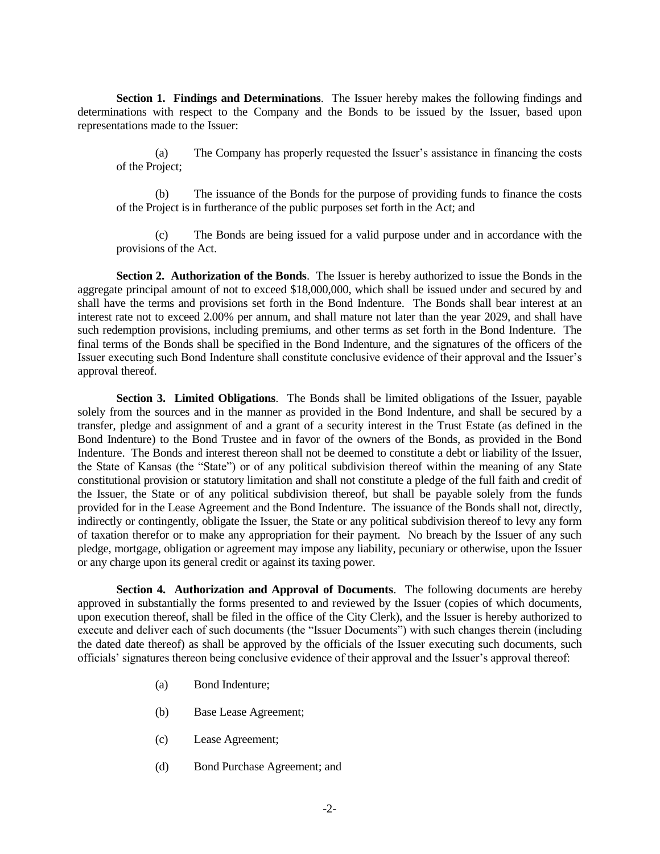**Section 1. Findings and Determinations**. The Issuer hereby makes the following findings and determinations with respect to the Company and the Bonds to be issued by the Issuer, based upon representations made to the Issuer:

(a) The Company has properly requested the Issuer's assistance in financing the costs of the Project;

(b) The issuance of the Bonds for the purpose of providing funds to finance the costs of the Project is in furtherance of the public purposes set forth in the Act; and

(c) The Bonds are being issued for a valid purpose under and in accordance with the provisions of the Act.

**Section 2. Authorization of the Bonds**. The Issuer is hereby authorized to issue the Bonds in the aggregate principal amount of not to exceed \$18,000,000, which shall be issued under and secured by and shall have the terms and provisions set forth in the Bond Indenture. The Bonds shall bear interest at an interest rate not to exceed 2.00% per annum, and shall mature not later than the year 2029, and shall have such redemption provisions, including premiums, and other terms as set forth in the Bond Indenture. The final terms of the Bonds shall be specified in the Bond Indenture, and the signatures of the officers of the Issuer executing such Bond Indenture shall constitute conclusive evidence of their approval and the Issuer's approval thereof.

**Section 3. Limited Obligations**. The Bonds shall be limited obligations of the Issuer, payable solely from the sources and in the manner as provided in the Bond Indenture, and shall be secured by a transfer, pledge and assignment of and a grant of a security interest in the Trust Estate (as defined in the Bond Indenture) to the Bond Trustee and in favor of the owners of the Bonds, as provided in the Bond Indenture. The Bonds and interest thereon shall not be deemed to constitute a debt or liability of the Issuer, the State of Kansas (the "State") or of any political subdivision thereof within the meaning of any State constitutional provision or statutory limitation and shall not constitute a pledge of the full faith and credit of the Issuer, the State or of any political subdivision thereof, but shall be payable solely from the funds provided for in the Lease Agreement and the Bond Indenture. The issuance of the Bonds shall not, directly, indirectly or contingently, obligate the Issuer, the State or any political subdivision thereof to levy any form of taxation therefor or to make any appropriation for their payment. No breach by the Issuer of any such pledge, mortgage, obligation or agreement may impose any liability, pecuniary or otherwise, upon the Issuer or any charge upon its general credit or against its taxing power.

**Section 4. Authorization and Approval of Documents**. The following documents are hereby approved in substantially the forms presented to and reviewed by the Issuer (copies of which documents, upon execution thereof, shall be filed in the office of the City Clerk), and the Issuer is hereby authorized to execute and deliver each of such documents (the "Issuer Documents") with such changes therein (including the dated date thereof) as shall be approved by the officials of the Issuer executing such documents, such officials' signatures thereon being conclusive evidence of their approval and the Issuer's approval thereof:

- (a) Bond Indenture;
- (b) Base Lease Agreement;
- (c) Lease Agreement;
- (d) Bond Purchase Agreement; and